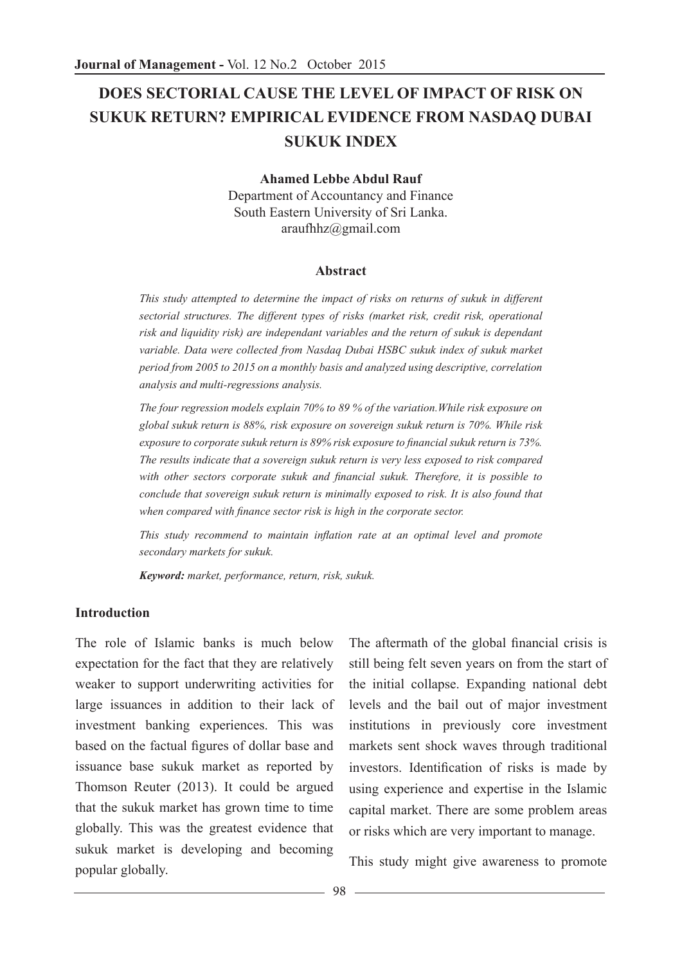# **DOES SECTORIAL CAUSE THE LEVEL OF IMPACT OF RISK ON SUKUK RETURN? EMPIRICAL EVIDENCE FROM NASDAQ DUBAI SUKUK INDEX**

**Ahamed Lebbe Abdul Rauf**

Department of Accountancy and Finance South Eastern University of Sri Lanka. araufhhz@gmail.com

#### **Abstract**

*This study attempted to determine the impact of risks on returns of sukuk in different sectorial structures. The different types of risks (market risk, credit risk, operational risk and liquidity risk) are independant variables and the return of sukuk is dependant variable. Data were collected from Nasdaq Dubai HSBC sukuk index of sukuk market period from 2005 to 2015 on a monthly basis and analyzed using descriptive, correlation analysis and multi-regressions analysis.* 

*The four regression models explain 70% to 89 % of the variation.While risk exposure on global sukuk return is 88%, risk exposure on sovereign sukuk return is 70%. While risk exposure to corporate sukuk return is 89% risk exposure to financial sukuk return is 73%. The results indicate that a sovereign sukuk return is very less exposed to risk compared with other sectors corporate sukuk and financial sukuk. Therefore, it is possible to conclude that sovereign sukuk return is minimally exposed to risk. It is also found that when compared with finance sector risk is high in the corporate sector.*

*This study recommend to maintain inflation rate at an optimal level and promote secondary markets for sukuk.* 

*Keyword: market, performance, return, risk, sukuk.*

#### **Introduction**

The role of Islamic banks is much below expectation for the fact that they are relatively weaker to support underwriting activities for large issuances in addition to their lack of investment banking experiences. This was based on the factual figures of dollar base and issuance base sukuk market as reported by Thomson Reuter (2013). It could be argued that the sukuk market has grown time to time globally. This was the greatest evidence that sukuk market is developing and becoming popular globally.

The aftermath of the global financial crisis is still being felt seven years on from the start of the initial collapse. Expanding national debt levels and the bail out of major investment institutions in previously core investment markets sent shock waves through traditional investors. Identification of risks is made by using experience and expertise in the Islamic capital market. There are some problem areas or risks which are very important to manage.

This study might give awareness to promote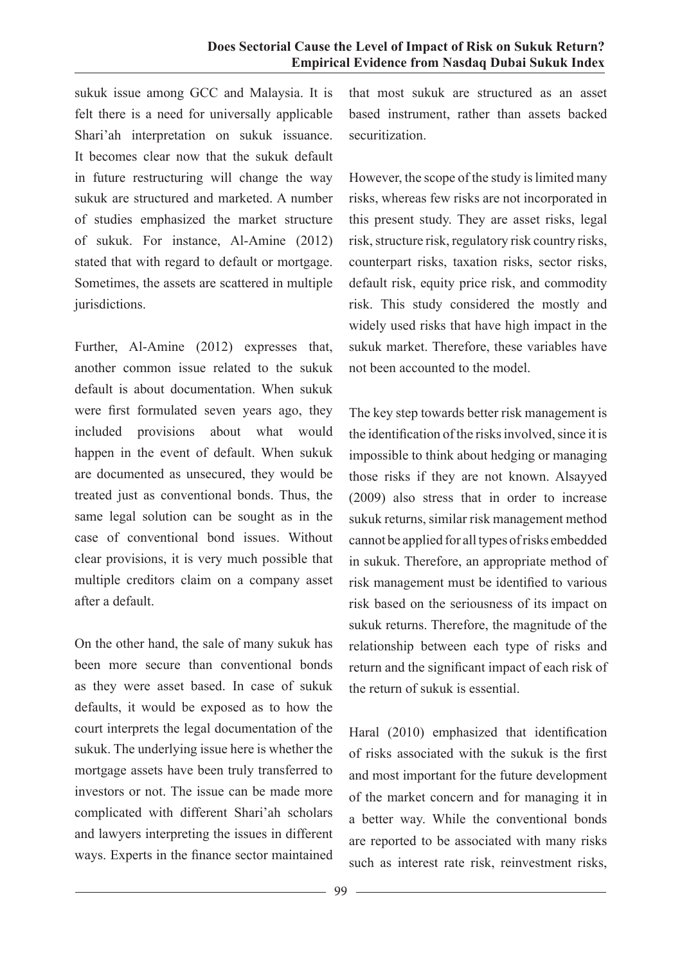sukuk issue among GCC and Malaysia. It is felt there is a need for universally applicable Shari'ah interpretation on sukuk issuance. It becomes clear now that the sukuk default in future restructuring will change the way sukuk are structured and marketed. A number of studies emphasized the market structure of sukuk. For instance, Al-Amine (2012) stated that with regard to default or mortgage. Sometimes, the assets are scattered in multiple jurisdictions.

Further, Al-Amine (2012) expresses that, another common issue related to the sukuk default is about documentation. When sukuk were first formulated seven years ago, they included provisions about what would happen in the event of default. When sukuk are documented as unsecured, they would be treated just as conventional bonds. Thus, the same legal solution can be sought as in the case of conventional bond issues. Without clear provisions, it is very much possible that multiple creditors claim on a company asset after a default.

On the other hand, the sale of many sukuk has been more secure than conventional bonds as they were asset based. In case of sukuk defaults, it would be exposed as to how the court interprets the legal documentation of the sukuk. The underlying issue here is whether the mortgage assets have been truly transferred to investors or not. The issue can be made more complicated with different Shari'ah scholars and lawyers interpreting the issues in different ways. Experts in the finance sector maintained

that most sukuk are structured as an asset based instrument, rather than assets backed securitization.

However, the scope of the study is limited many risks, whereas few risks are not incorporated in this present study. They are asset risks, legal risk, structure risk, regulatory risk country risks, counterpart risks, taxation risks, sector risks, default risk, equity price risk, and commodity risk. This study considered the mostly and widely used risks that have high impact in the sukuk market. Therefore, these variables have not been accounted to the model.

The key step towards better risk management is the identification of the risks involved, since it is impossible to think about hedging or managing those risks if they are not known. Alsayyed (2009) also stress that in order to increase sukuk returns, similar risk management method cannot be applied for all types of risks embedded in sukuk. Therefore, an appropriate method of risk management must be identified to various risk based on the seriousness of its impact on sukuk returns. Therefore, the magnitude of the relationship between each type of risks and return and the significant impact of each risk of the return of sukuk is essential.

Haral (2010) emphasized that identification of risks associated with the sukuk is the first and most important for the future development of the market concern and for managing it in a better way. While the conventional bonds are reported to be associated with many risks such as interest rate risk, reinvestment risks,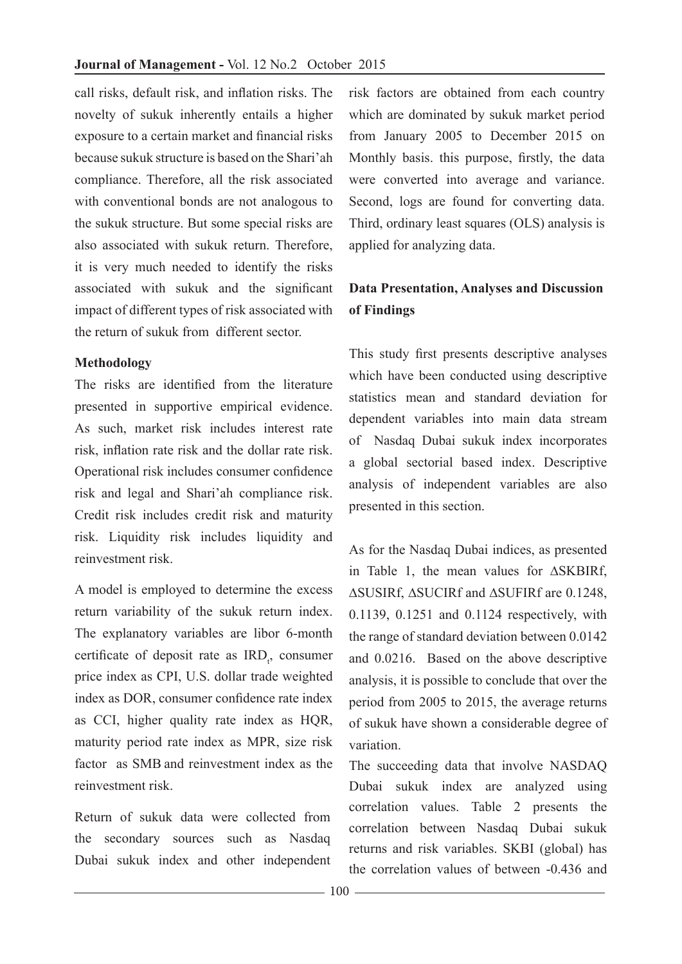call risks, default risk, and inflation risks. The novelty of sukuk inherently entails a higher exposure to a certain market and financial risks because sukuk structure is based on the Shari'ah compliance. Therefore, all the risk associated with conventional bonds are not analogous to the sukuk structure. But some special risks are also associated with sukuk return. Therefore, it is very much needed to identify the risks associated with sukuk and the significant impact of different types of risk associated with the return of sukuk from different sector.

### **Methodology**

The risks are identified from the literature presented in supportive empirical evidence. As such, market risk includes interest rate risk, inflation rate risk and the dollar rate risk. Operational risk includes consumer confidence risk and legal and Shari'ah compliance risk. Credit risk includes credit risk and maturity risk. Liquidity risk includes liquidity and reinvestment risk.

A model is employed to determine the excess return variability of the sukuk return index. The explanatory variables are libor 6-month certificate of deposit rate as  $\text{IRD}_t$ , consumer price index as CPI, U.S. dollar trade weighted index as DOR, consumer confidence rate index as CCI, higher quality rate index as HQR, maturity period rate index as MPR, size risk factor as SMB and reinvestment index as the reinvestment risk.

Return of sukuk data were collected from the secondary sources such as Nasdaq Dubai sukuk index and other independent risk factors are obtained from each country which are dominated by sukuk market period from January 2005 to December 2015 on Monthly basis. this purpose, firstly, the data were converted into average and variance. Second, logs are found for converting data. Third, ordinary least squares (OLS) analysis is applied for analyzing data.

# **Data Presentation, Analyses and Discussion of Findings**

This study first presents descriptive analyses which have been conducted using descriptive statistics mean and standard deviation for dependent variables into main data stream of Nasdaq Dubai sukuk index incorporates a global sectorial based index. Descriptive analysis of independent variables are also presented in this section.

As for the Nasdaq Dubai indices, as presented in Table 1, the mean values for ∆SKBIRf, ∆SUSIRf, ∆SUCIRf and ∆SUFIRf are 0.1248, 0.1139, 0.1251 and 0.1124 respectively, with the range of standard deviation between 0.0142 and 0.0216. Based on the above descriptive analysis, it is possible to conclude that over the period from 2005 to 2015, the average returns of sukuk have shown a considerable degree of variation.

The succeeding data that involve NASDAQ Dubai sukuk index are analyzed using correlation values. Table 2 presents the correlation between Nasdaq Dubai sukuk returns and risk variables. SKBI (global) has the correlation values of between -0.436 and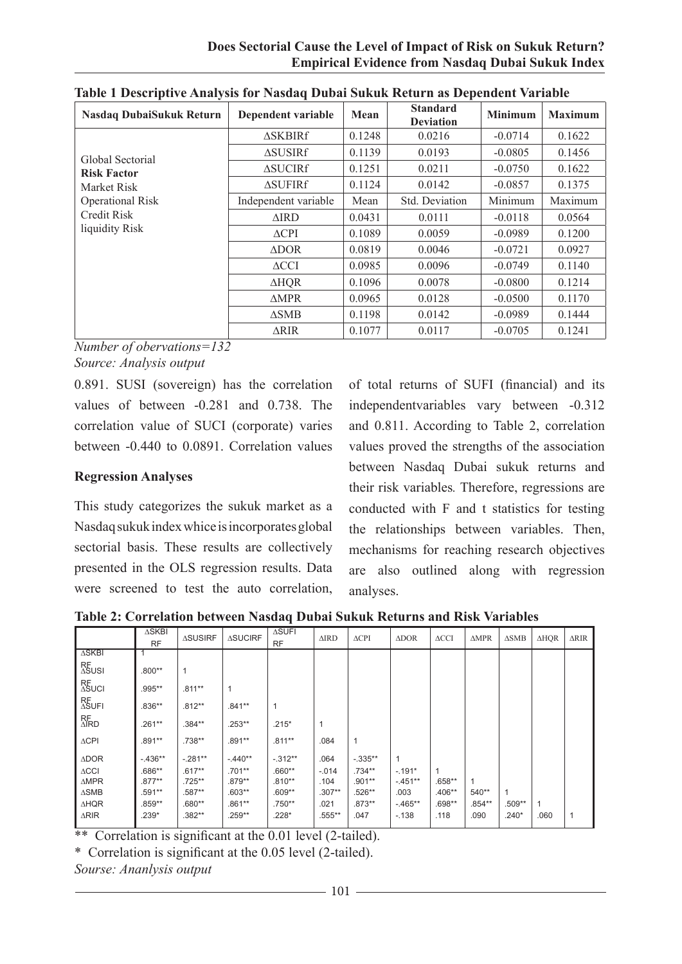| л.<br>Nasdaq DubaiSukuk Return | Dependent variable   | Mean   | <b>Standard</b><br><b>Deviation</b> | <b>Minimum</b> | <b>Maximum</b> |
|--------------------------------|----------------------|--------|-------------------------------------|----------------|----------------|
|                                | <b>ASKBIRf</b>       | 0.1248 | 0.0216                              | $-0.0714$      | 0.1622         |
| Global Sectorial               | <b>ASUSIRf</b>       | 0.1139 | 0.0193                              | $-0.0805$      | 0.1456         |
| <b>Risk Factor</b>             | <b>ASUCIRf</b>       | 0.1251 | 0.0211                              | $-0.0750$      | 0.1622         |
| Market Risk                    | <b>ASUFIRf</b>       | 0.1124 | 0.0142                              | $-0.0857$      | 0.1375         |
| <b>Operational Risk</b>        | Independent variable | Mean   | Std. Deviation                      | Minimum        | Maximum        |
| Credit Risk                    | ∆IRD                 | 0.0431 | 0.0111                              | $-0.0118$      | 0.0564         |
| liquidity Risk                 | $\triangle$ CPI      | 0.1089 | 0.0059                              | $-0.0989$      | 0.1200         |
|                                | $\triangle DOR$      | 0.0819 | 0.0046                              | $-0.0721$      | 0.0927         |
|                                | $\triangle CCI$      | 0.0985 | 0.0096                              | $-0.0749$      | 0.1140         |
|                                | $\triangle HQR$      | 0.1096 | 0.0078                              | $-0.0800$      | 0.1214         |
|                                | $\triangle MPR$      | 0.0965 | 0.0128                              | $-0.0500$      | 0.1170         |
|                                | $\triangle$ SMB      | 0.1198 | 0.0142                              | $-0.0989$      | 0.1444         |
|                                | <b>∆RIR</b>          | 0.1077 | 0.0117                              | $-0.0705$      | 0.1241         |

**Table 1 Descriptive Analysis for Nasdaq Dubai Sukuk Return as Dependent Variable**

*Number of obervations=132*

*Source: Analysis output*

0.891. SUSI (sovereign) has the correlation values of between -0.281 and 0.738. The correlation value of SUCI (corporate) varies between -0.440 to 0.0891. Correlation values

### **Regression Analyses**

This study categorizes the sukuk market as a Nasdaq sukuk index whice is incorporates global sectorial basis. These results are collectively presented in the OLS regression results. Data were screened to test the auto correlation,

of total returns of SUFI (financial) and its independentvariables vary between -0.312 and 0.811. According to Table 2, correlation values proved the strengths of the association between Nasdaq Dubai sukuk returns and their risk variables*.* Therefore, regressions are conducted with F and t statistics for testing the relationships between variables. Then, mechanisms for reaching research objectives are also outlined along with regression analyses.

**Table 2: Correlation between Nasdaq Dubai Sukuk Returns and Risk Variables** 

|                    | <b>ASKBI</b><br><b>RF</b> | <b>ASUSIRF</b> | <b>ASUCIRF</b> | <b>ASUFI</b><br><b>RF</b> | $\triangle$ IRD | $\triangle$ CPI | $\triangle DOR$ | $\triangle CCI$ | $\triangle MPR$ | $\triangle$ SMB | <b>AHQR</b> | ∆RIR         |
|--------------------|---------------------------|----------------|----------------|---------------------------|-----------------|-----------------|-----------------|-----------------|-----------------|-----------------|-------------|--------------|
| $\triangle$ SKBI   |                           |                |                |                           |                 |                 |                 |                 |                 |                 |             |              |
| RF<br>ASUSI        | $.800**$                  | $\mathbf{1}$   |                |                           |                 |                 |                 |                 |                 |                 |             |              |
| <b>RE</b><br>ASUCI | .995**                    | $.811***$      | 1              |                           |                 |                 |                 |                 |                 |                 |             |              |
| RF<br>ASUFI        | $.836**$                  | $.812**$       | $.841**$       | $\mathbf{1}$              |                 |                 |                 |                 |                 |                 |             |              |
| <b>RE<br/>AIRD</b> | .261**                    | .384**         | .253**         | $.215*$                   |                 |                 |                 |                 |                 |                 |             |              |
| $\triangle$ CPI    | .891**                    | .738**         | .891**         | $.811***$                 | .084            | $\mathbf{1}$    |                 |                 |                 |                 |             |              |
| <b>ADOR</b>        | $-436**$                  | $-.281**$      | $-.440**$      | $-.312**$                 | .064            | $-.335**$       | 1               |                 |                 |                 |             |              |
| $\triangle CCI$    | $.686**$                  | $.617**$       | $.701**$       | $.660**$                  | $-.014$         | $.734**$        | $-.191*$        | 1               |                 |                 |             |              |
| $\triangle MPR$    | $.877**$                  | .725**         | .879**         | $.810**$                  | .104            | .901**          | $-.451**$       | $.658**$        | $\mathbf{1}$    |                 |             |              |
| $\triangle$ SMB    | .591**                    | .587**         | $.603**$       | $.609**$                  | $.307**$        | .526**          | .003            | $.406**$        | 540**           | 1               |             |              |
| <b>AHQR</b>        | .859**                    | $.680**$       | $.861**$       | .750**                    | .021            | .873**          | $-0.465**$      | $.698**$        | $.854**$        | .509**          | 1           |              |
| $\triangle RIR$    | .239*                     | .382**         | .259**         | $.228*$                   | .555**          | .047            | $-.138$         | .118            | .090            | $.240*$         | .060        | $\mathbf{1}$ |

\*\* Correlation is significant at the 0.01 level (2-tailed).

\* Correlation is significant at the 0.05 level (2-tailed).

*Sourse: Ananlysis output*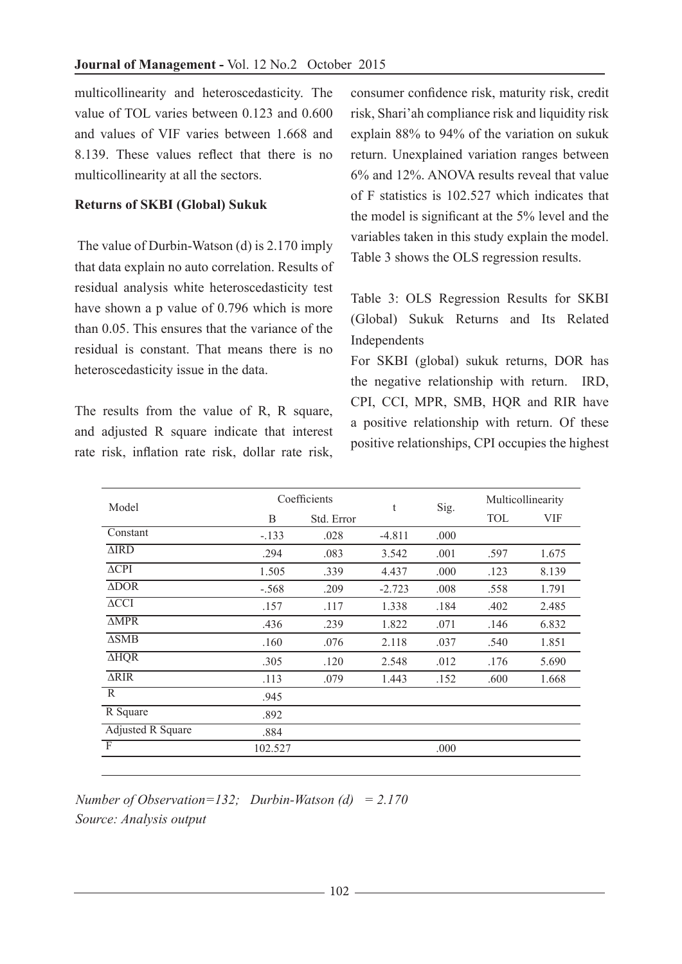multicollinearity and heteroscedasticity. The value of TOL varies between 0.123 and 0.600 and values of VIF varies between 1.668 and 8.139. These values reflect that there is no multicollinearity at all the sectors.

### **Returns of SKBI (Global) Sukuk**

 The value of Durbin-Watson (d) is 2.170 imply that data explain no auto correlation. Results of residual analysis white heteroscedasticity test have shown a p value of 0.796 which is more than 0.05. This ensures that the variance of the residual is constant. That means there is no heteroscedasticity issue in the data.

The results from the value of R, R square, and adjusted R square indicate that interest rate risk, inflation rate risk, dollar rate risk,

consumer confidence risk, maturity risk, credit risk, Shari'ah compliance risk and liquidity risk explain 88% to 94% of the variation on sukuk return. Unexplained variation ranges between 6% and 12%. ANOVA results reveal that value of F statistics is 102.527 which indicates that the model is significant at the 5% level and the variables taken in this study explain the model. Table 3 shows the OLS regression results.

Table 3: OLS Regression Results for SKBI (Global) Sukuk Returns and Its Related Independents

For SKBI (global) sukuk returns, DOR has the negative relationship with return. IRD, CPI, CCI, MPR, SMB, HQR and RIR have a positive relationship with return. Of these positive relationships, CPI occupies the highest

| Model                    |         | Coefficients | t        | Sig. | Multicollinearity |       |  |
|--------------------------|---------|--------------|----------|------|-------------------|-------|--|
|                          | B       | Std. Error   |          |      | TOL               | VIF   |  |
| Constant                 | $-.133$ | .028         | $-4.811$ | .000 |                   |       |  |
| <b>AIRD</b>              | .294    | .083         | 3.542    | .001 | .597              | 1.675 |  |
| $\triangle$ CPI          | 1.505   | .339         | 4.437    | .000 | .123              | 8.139 |  |
| $\triangle DOR$          | $-.568$ | .209         | $-2.723$ | .008 | .558              | 1.791 |  |
| $\triangle CCI$          | .157    | .117         | 1.338    | .184 | .402              | 2.485 |  |
| $\triangle MPR$          | .436    | .239         | 1.822    | .071 | .146              | 6.832 |  |
| $\triangle$ SMB          | .160    | .076         | 2.118    | .037 | .540              | 1.851 |  |
| $\overline{\text{AHQR}}$ | .305    | .120         | 2.548    | .012 | .176              | 5.690 |  |
| $\overline{\text{ARIR}}$ | .113    | .079         | 1.443    | .152 | .600              | 1.668 |  |
| R                        | .945    |              |          |      |                   |       |  |
| R Square                 | .892    |              |          |      |                   |       |  |
| <b>Adjusted R Square</b> | .884    |              |          |      |                   |       |  |
| $\overline{F}$           | 102.527 |              |          | .000 |                   |       |  |

*Number of Observation=132; Durbin-Watson (d) = 2.170 Source: Analysis output*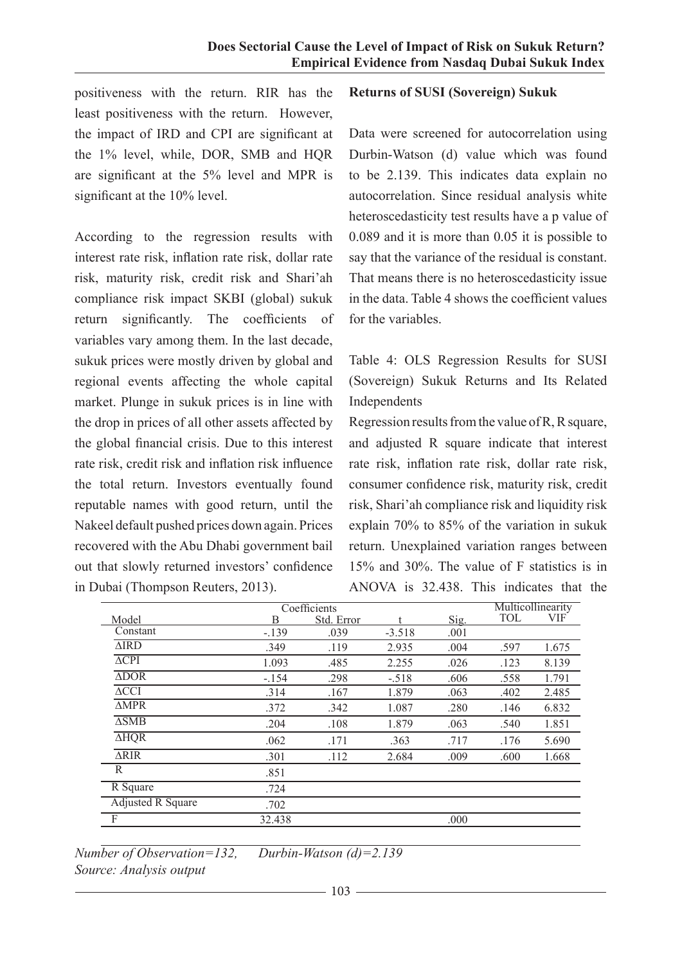positiveness with the return. RIR has the least positiveness with the return. However, the impact of IRD and CPI are significant at the 1% level, while, DOR, SMB and HQR are significant at the 5% level and MPR is significant at the 10% level.

According to the regression results with interest rate risk, inflation rate risk, dollar rate risk, maturity risk, credit risk and Shari'ah compliance risk impact SKBI (global) sukuk return significantly. The coefficients of variables vary among them. In the last decade, sukuk prices were mostly driven by global and regional events affecting the whole capital market. Plunge in sukuk prices is in line with the drop in prices of all other assets affected by the global financial crisis. Due to this interest rate risk, credit risk and inflation risk influence the total return. Investors eventually found reputable names with good return, until the Nakeel default pushed prices down again. Prices recovered with the Abu Dhabi government bail out that slowly returned investors' confidence in Dubai (Thompson Reuters, 2013).

#### **Returns of SUSI (Sovereign) Sukuk**

Data were screened for autocorrelation using Durbin-Watson (d) value which was found to be 2.139. This indicates data explain no autocorrelation. Since residual analysis white heteroscedasticity test results have a p value of 0.089 and it is more than 0.05 it is possible to say that the variance of the residual is constant. That means there is no heteroscedasticity issue in the data. Table 4 shows the coefficient values for the variables.

Table 4: OLS Regression Results for SUSI (Sovereign) Sukuk Returns and Its Related Independents

Regression results from the value of R, R square, and adjusted R square indicate that interest rate risk, inflation rate risk, dollar rate risk, consumer confidence risk, maturity risk, credit risk, Shari'ah compliance risk and liquidity risk explain 70% to 85% of the variation in sukuk return. Unexplained variation ranges between 15% and 30%. The value of F statistics is in ANOVA is 32.438. This indicates that the

|                            | Coefficients |            |          |      |      | Multicollinearity |
|----------------------------|--------------|------------|----------|------|------|-------------------|
| Model                      | B            | Std. Error | t        | Sig. | TOL  | VIF               |
| Constant                   | $-.139$      | .039       | $-3.518$ | .001 |      |                   |
| $\triangle$ IRD            | .349         | .119       | 2.935    | .004 | .597 | 1.675             |
| $\triangle$ CPI            | 1.093        | .485       | 2.255    | .026 | .123 | 8.139             |
| $\triangle DOR$            | $-.154$      | .298       | $-.518$  | .606 | .558 | 1.791             |
| $\overline{\triangle CCI}$ | .314         | .167       | 1.879    | .063 | .402 | 2.485             |
| <b>AMPR</b>                | .372         | .342       | 1.087    | .280 | .146 | 6.832             |
| $\triangle$ SMB            | .204         | .108       | 1.879    | .063 | .540 | 1.851             |
| $\overline{\text{AHQR}}$   | .062         | .171       | .363     | .717 | .176 | 5.690             |
| <b>ARIR</b>                | .301         | .112       | 2.684    | .009 | .600 | 1.668             |
| R                          | .851         |            |          |      |      |                   |
| R Square                   | .724         |            |          |      |      |                   |
| <b>Adjusted R Square</b>   | .702         |            |          |      |      |                   |
| F                          | 32.438       |            |          | .000 |      |                   |

*Number of Observation=132, Durbin-Watson (d)=2.139 Source: Analysis output*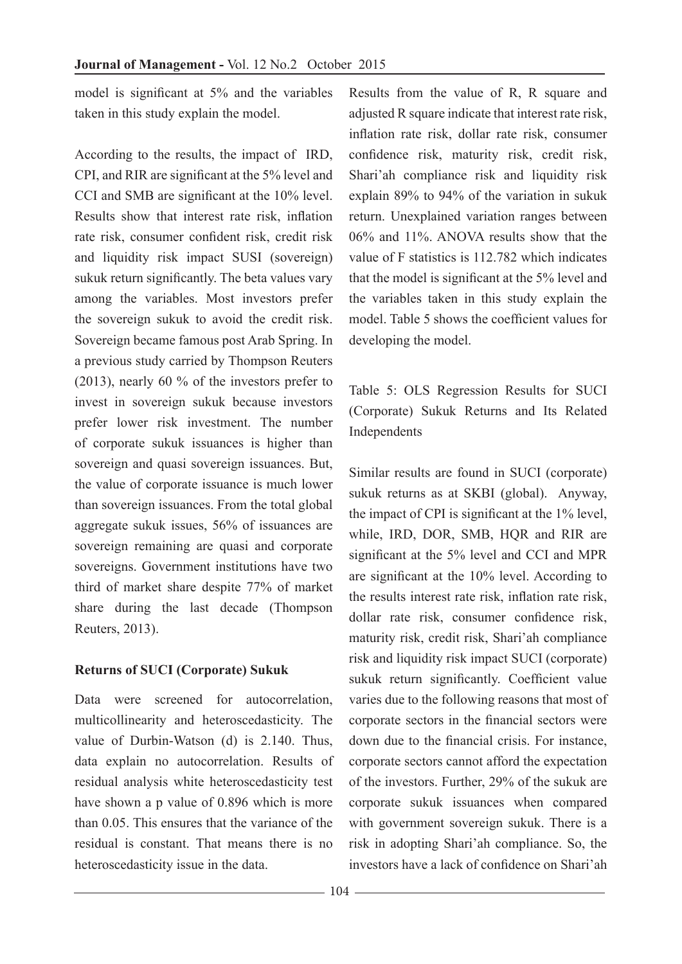model is significant at 5% and the variables taken in this study explain the model.

According to the results, the impact of IRD, CPI, and RIR are significant at the 5% level and CCI and SMB are significant at the 10% level. Results show that interest rate risk, inflation rate risk, consumer confident risk, credit risk and liquidity risk impact SUSI (sovereign) sukuk return significantly. The beta values vary among the variables. Most investors prefer the sovereign sukuk to avoid the credit risk. Sovereign became famous post Arab Spring. In a previous study carried by Thompson Reuters (2013), nearly 60 % of the investors prefer to invest in sovereign sukuk because investors prefer lower risk investment. The number of corporate sukuk issuances is higher than sovereign and quasi sovereign issuances. But, the value of corporate issuance is much lower than sovereign issuances. From the total global aggregate sukuk issues, 56% of issuances are sovereign remaining are quasi and corporate sovereigns. Government institutions have two third of market share despite 77% of market share during the last decade (Thompson Reuters, 2013).

### **Returns of SUCI (Corporate) Sukuk**

Data were screened for autocorrelation, multicollinearity and heteroscedasticity. The value of Durbin-Watson (d) is 2.140. Thus, data explain no autocorrelation. Results of residual analysis white heteroscedasticity test have shown a p value of 0.896 which is more than 0.05. This ensures that the variance of the residual is constant. That means there is no heteroscedasticity issue in the data.

Results from the value of R, R square and adjusted R square indicate that interest rate risk, inflation rate risk, dollar rate risk, consumer confidence risk, maturity risk, credit risk, Shari'ah compliance risk and liquidity risk explain 89% to 94% of the variation in sukuk return. Unexplained variation ranges between 06% and 11%. ANOVA results show that the value of F statistics is 112.782 which indicates that the model is significant at the 5% level and the variables taken in this study explain the model. Table 5 shows the coefficient values for developing the model.

Table 5: OLS Regression Results for SUCI (Corporate) Sukuk Returns and Its Related Independents

Similar results are found in SUCI (corporate) sukuk returns as at SKBI (global). Anyway, the impact of CPI is significant at the 1% level, while, IRD, DOR, SMB, HOR and RIR are significant at the 5% level and CCI and MPR are significant at the 10% level. According to the results interest rate risk, inflation rate risk, dollar rate risk, consumer confidence risk, maturity risk, credit risk, Shari'ah compliance risk and liquidity risk impact SUCI (corporate) sukuk return significantly. Coefficient value varies due to the following reasons that most of corporate sectors in the financial sectors were down due to the financial crisis. For instance, corporate sectors cannot afford the expectation of the investors. Further, 29% of the sukuk are corporate sukuk issuances when compared with government sovereign sukuk. There is a risk in adopting Shari'ah compliance. So, the investors have a lack of confidence on Shari'ah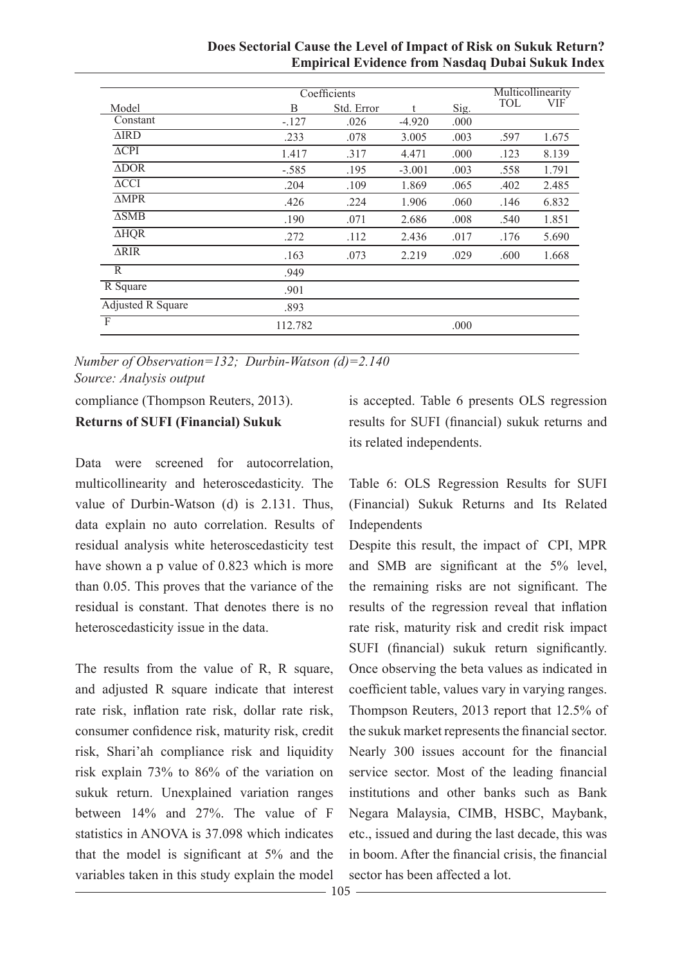|                            | Coefficients |            |          |      |      |       |  |
|----------------------------|--------------|------------|----------|------|------|-------|--|
| Model                      | B            | Std. Error | t        | Sig. | TOL  | VIF   |  |
| Constant                   | $-.127$      | .026       | $-4.920$ | .000 |      |       |  |
| <b>AIRD</b>                | .233         | .078       | 3.005    | .003 | .597 | 1.675 |  |
| $\overline{\triangle CPI}$ | 1.417        | .317       | 4.471    | .000 | .123 | 8.139 |  |
| $\overline{\triangle DOR}$ | $-.585$      | .195       | $-3.001$ | .003 | .558 | 1.791 |  |
| $\triangle CCI$            | .204         | .109       | 1.869    | .065 | .402 | 2.485 |  |
| $\overline{\triangle MPR}$ | .426         | .224       | 1.906    | .060 | .146 | 6.832 |  |
| $\overline{\triangle SMB}$ | .190         | .071       | 2.686    | .008 | .540 | 1.851 |  |
| $\overline{\triangle HQR}$ | .272         | .112       | 2.436    | .017 | .176 | 5.690 |  |
| $\overline{\text{ARIR}}$   | .163         | .073       | 2.219    | .029 | .600 | 1.668 |  |
| R                          | .949         |            |          |      |      |       |  |
| $\overline{R}$ Square      | .901         |            |          |      |      |       |  |
| <b>Adjusted R Square</b>   | .893         |            |          |      |      |       |  |
| $\overline{F}$             | 112.782      |            |          | .000 |      |       |  |

#### **Does Sectorial Cause the Level of Impact of Risk on Sukuk Return? Empirical Evidence from Nasdaq Dubai Sukuk Index**

*Number of Observation=132; Durbin-Watson (d)=2.140 Source: Analysis output*

## compliance (Thompson Reuters, 2013). **Returns of SUFI (Financial) Sukuk**

Data were screened for autocorrelation multicollinearity and heteroscedasticity. The value of Durbin-Watson (d) is 2.131. Thus, data explain no auto correlation. Results of residual analysis white heteroscedasticity test have shown a p value of 0.823 which is more than 0.05. This proves that the variance of the residual is constant. That denotes there is no heteroscedasticity issue in the data.

The results from the value of R, R square, and adjusted R square indicate that interest rate risk, inflation rate risk, dollar rate risk, consumer confidence risk, maturity risk, credit risk, Shari'ah compliance risk and liquidity risk explain 73% to 86% of the variation on sukuk return. Unexplained variation ranges between 14% and 27%. The value of F statistics in ANOVA is 37.098 which indicates that the model is significant at 5% and the variables taken in this study explain the model

is accepted. Table 6 presents OLS regression results for SUFI (financial) sukuk returns and its related independents.

Table 6: OLS Regression Results for SUFI (Financial) Sukuk Returns and Its Related Independents

Despite this result, the impact of CPI, MPR and SMB are significant at the 5% level, the remaining risks are not significant. The results of the regression reveal that inflation rate risk, maturity risk and credit risk impact SUFI (financial) sukuk return significantly. Once observing the beta values as indicated in coefficient table, values vary in varying ranges. Thompson Reuters, 2013 report that 12.5% of the sukuk market represents the financial sector. Nearly 300 issues account for the financial service sector. Most of the leading financial institutions and other banks such as Bank Negara Malaysia, CIMB, HSBC, Maybank, etc., issued and during the last decade, this was in boom. After the financial crisis, the financial sector has been affected a lot.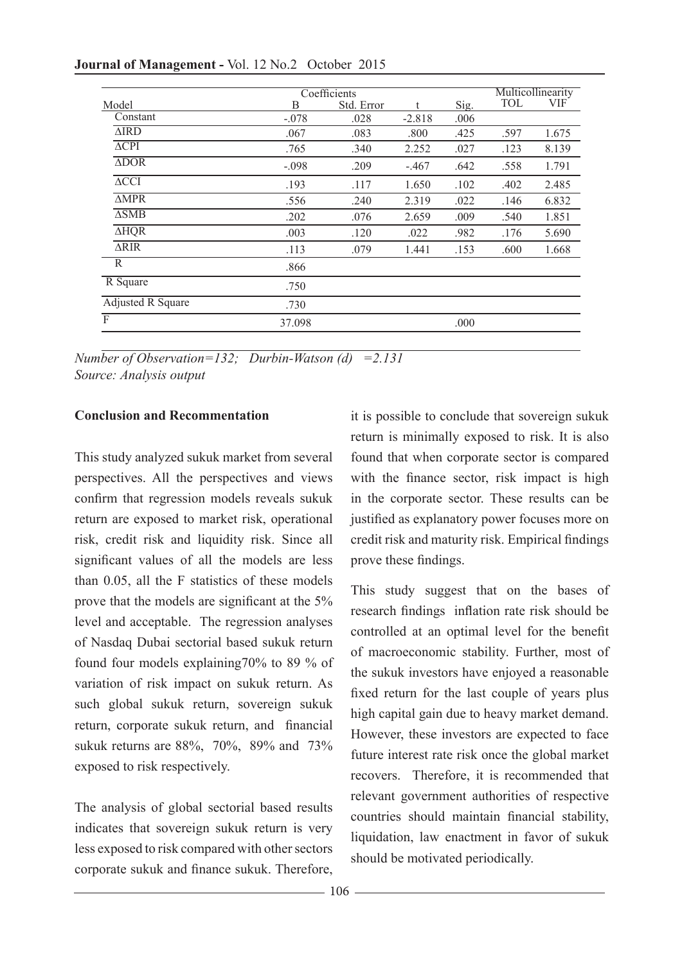|                            |         | Coefficients |          |      |      |       |  |
|----------------------------|---------|--------------|----------|------|------|-------|--|
| Model                      | B       | Std. Error   |          | Sig. | TOL  | VIF   |  |
| Constant                   | $-.078$ | .028         | $-2.818$ | .006 |      |       |  |
| <b>AIRD</b>                | .067    | .083         | .800     | .425 | .597 | 1.675 |  |
| $\overline{\triangle CPI}$ | .765    | .340         | 2.252    | .027 | .123 | 8.139 |  |
| $\overline{\triangle DOR}$ | $-.098$ | .209         | $-.467$  | .642 | .558 | 1.791 |  |
| $\overline{\triangle CCI}$ | .193    | .117         | 1.650    | .102 | .402 | 2.485 |  |
| $\triangle MPR$            | .556    | .240         | 2.319    | .022 | .146 | 6.832 |  |
| $\triangle$ SMB            | .202    | .076         | 2.659    | .009 | .540 | 1.851 |  |
| <b>AHQR</b>                | .003    | .120         | .022     | .982 | .176 | 5.690 |  |
| $\overline{\text{ARIR}}$   | .113    | .079         | 1.441    | .153 | .600 | 1.668 |  |
| R                          | .866    |              |          |      |      |       |  |
| $\overline{R}$ Square      | .750    |              |          |      |      |       |  |
| <b>Adjusted R Square</b>   | .730    |              |          |      |      |       |  |
| F                          | 37.098  |              |          | .000 |      |       |  |
|                            |         |              |          |      |      |       |  |

#### **Journal of Management -** Vol. 12 No.2 October 2015

*Number of Observation=132; Durbin-Watson (d) =2.131 Source: Analysis output*

#### **Conclusion and Recommentation**

This study analyzed sukuk market from several perspectives. All the perspectives and views confirm that regression models reveals sukuk return are exposed to market risk, operational risk, credit risk and liquidity risk. Since all significant values of all the models are less than 0.05, all the F statistics of these models prove that the models are significant at the 5% level and acceptable. The regression analyses of Nasdaq Dubai sectorial based sukuk return found four models explaining70% to 89 % of variation of risk impact on sukuk return. As such global sukuk return, sovereign sukuk return, corporate sukuk return, and financial sukuk returns are 88%, 70%, 89% and 73% exposed to risk respectively.

The analysis of global sectorial based results indicates that sovereign sukuk return is very less exposed to risk compared with other sectors corporate sukuk and finance sukuk. Therefore,

it is possible to conclude that sovereign sukuk return is minimally exposed to risk. It is also found that when corporate sector is compared with the finance sector, risk impact is high in the corporate sector. These results can be justified as explanatory power focuses more on credit risk and maturity risk. Empirical findings prove these findings.

This study suggest that on the bases of research findings inflation rate risk should be controlled at an optimal level for the benefit of macroeconomic stability. Further, most of the sukuk investors have enjoyed a reasonable fixed return for the last couple of years plus high capital gain due to heavy market demand. However, these investors are expected to face future interest rate risk once the global market recovers. Therefore, it is recommended that relevant government authorities of respective countries should maintain financial stability, liquidation, law enactment in favor of sukuk should be motivated periodically.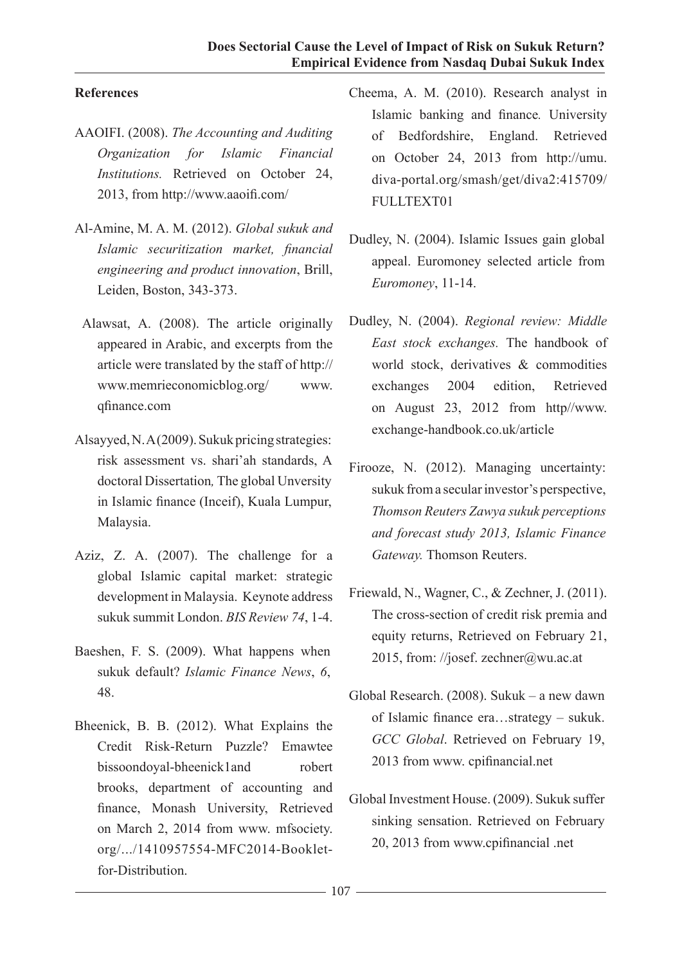### **References**

- AAOIFI. (2008). *The Accounting and Auditing Organization for Islamic Financial Institutions.* Retrieved on October 24, 2013, from http://www.aaoifi.com/
- Al-Amine, M. A. M. (2012). *Global sukuk and Islamic securitization market, financial engineering and product innovation*, Brill, Leiden, Boston, 343-373.
- Alawsat, A. (2008). The article originally appeared in Arabic, and excerpts from the article were translated by the staff of http:// www.memrieconomicblog.org/ www. qfinance.com
- Alsayyed, N. A (2009). Sukuk pricing strategies: risk assessment vs. shari'ah standards, A doctoral Dissertation*,* The global Unversity in Islamic finance (Inceif), Kuala Lumpur, Malaysia.
- Aziz, Z. A. (2007). The challenge for a global Islamic capital market: strategic development in Malaysia. Keynote address sukuk summit London. *BIS Review 74*, 1-4.
- Baeshen, F. S. (2009). What happens when sukuk default? *Islamic Finance News*, *6*, 48.
- Bheenick, B. B. (2012). What Explains the Credit Risk-Return Puzzle? Emawtee bissoondoyal-bheenick1and robert brooks, department of accounting and finance, Monash University, Retrieved on March 2, 2014 from www. mfsociety. org/.../1410957554-MFC2014-Bookletfor-Distribution.
- Cheema, A. M. (2010). Research analyst in Islamic banking and finance*.* University of Bedfordshire, England. Retrieved on October 24, 2013 from http://umu. diva-portal.org/smash/get/diva2:415709/ FULLTEXT01
- Dudley, N. (2004). Islamic Issues gain global appeal. Euromoney selected article from *Euromoney*, 11-14.
- Dudley, N. (2004). *Regional review: Middle East stock exchanges.* The handbook of world stock, derivatives & commodities exchanges 2004 edition, Retrieved on August 23, 2012 from http//www. exchange-handbook.co.uk/article
- Firooze, N. (2012). Managing uncertainty: sukuk from a secular investor's perspective, *Thomson Reuters Zawya sukuk perceptions and forecast study 2013, Islamic Finance Gateway.* Thomson Reuters.
- Friewald, N., Wagner, C., & Zechner, J. (2011). The cross-section of credit risk premia and equity returns, Retrieved on February 21, 2015, from: //josef. zechner@wu.ac.at
- Global Research. (2008). Sukuk a new dawn of Islamic finance era…strategy – sukuk. *GCC Global*. Retrieved on February 19, 2013 from www. cpifinancial.net
- Global Investment House. (2009). Sukuk suffer sinking sensation. Retrieved on February 20, 2013 from www.cpifinancial .net